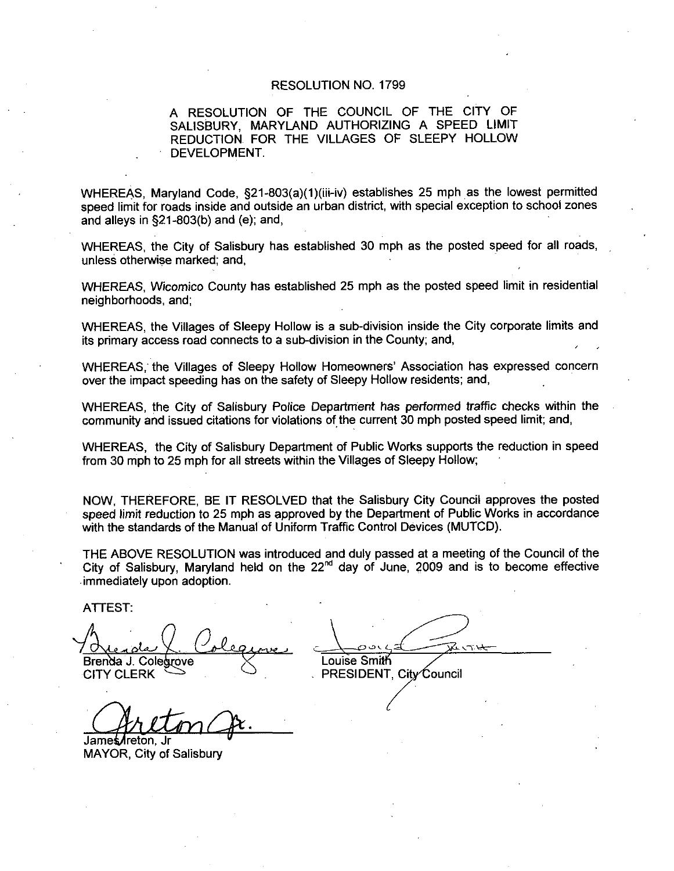## RESOLUTION NO. 1799

## A RESOLUTION OF THE COUNCIL OF THE CITY OF SALISBURY, MARYLAND AUTHORIZING A SPEED LIMIT REDUCTION FOR THE VILLAGES OF SLEEPY HOLLOW DEVELOPMENT

RESOLUTION NO. 1799<br>
A RESOLUTION OF THE COUNCIL OF THE CITY OF<br>
SALISBURY, MARYLAND AUTHORIZING A SPEED LIMIT<br>
REDUCTION FOR THE VILLAGES OF SLEEPY HOLLOW<br>
DEVELOPMENT.<br>
WHEREAS, Maryland Code, §21-803(a)(1)(iii-iv) estab speed limit for roads inside and outside an urban district, with special exception to school zones WHEREAS, Maryland Code, §21-803(a)(1)(iii-iv) establishes 25 mph as the lowest permitted and alleys in  $\S21-803(b)$  and (e); and,

WHEREAS, the City of Salisbury has established 30 mph as the posted speed for all roads, unless otherwise marked; and,

WHEREAS, Wicomico County has established 25 mph as the posted speed limit in residential neighborhoods, and:

WHEREAS, the Villages of Sleepy Hollow is a sub-division inside the City corporate limits and its primary access road connects to a sub-division in the County; and,

WHEREAS, the Villages of Sleepy Hollow Homeowners' Association has expressed concern over the impact speeding has on the safety of Sleepy Hollow residents; and,

WHEREAS, the City of Salisbury Police Department has performed traffic checks within the community and issued citations for violations of the current 30 mph posted speed limit; and,

WHEREAS, the City of Salisbury Department of Public Works supports the reduction in speed from 30 mph to 25 mph for all streets within the Villages of Sleepy Hollow

NOW. THEREFORE, BE IT RESOLVED that the Salisbury City Council approves the posted speed limit reduction to 25 mph as approved by the Department of Public Works in accordance with the standards of the Manual of Uniform Traffic Control Devices (MUTCD).

THE ABOVE RESOLUTION was introduced and duly passed at <sup>a</sup> meeting of the Council of the City of Salisbury, Maryland held on the  $22<sup>nd</sup>$  day of June, 2009 and is to become effective immediately upon adoption with the standards of the Manual of Uniform Traffic Con<br>
THE ABOVE RESOLUTION was introduced and duly p<br>
City of Salisbury, Maryland held on the 22<sup>nd</sup> day of<br>
immediately upon adoption.<br>
ATTEST:<br>
Alexanda J. Colegrove<br>
C

ATTEST

Brenda J. Colegrove

James/freton Jr MAYOR, City of Salisbury

 $CITY$  CLERK  $\hookrightarrow$  PRESIDENT City Council